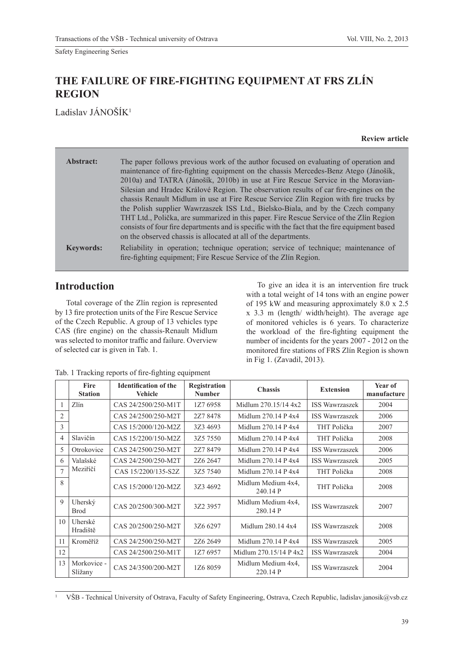# **THE FAILURE OF FIRE-FIGHTING EQUIPMENT AT FRS ZLÍN REGION**

Ladislav JÁNOŠÍK<sup>1</sup>

| Abstract:        | The paper follows previous work of the author focused on evaluating of operation and<br>maintenance of fire-fighting equipment on the chassis Mercedes-Benz Atego (Jánošík,<br>2010a) and TATRA (Jánošík, 2010b) in use at Fire Rescue Service in the Moravian-<br>Silesian and Hradec Králové Region. The observation results of car fire-engines on the<br>chassis Renault Midlum in use at Fire Rescue Service Zlin Region with fire trucks by<br>the Polish supplier Wawrzaszek ISS Ltd., Bielsko-Biala, and by the Czech company<br>THT Ltd., Polička, are summarized in this paper. Fire Rescue Service of the Zlin Region<br>consists of four fire departments and is specific with the fact that the fire equipment based<br>on the observed chassis is allocated at all of the departments. |
|------------------|------------------------------------------------------------------------------------------------------------------------------------------------------------------------------------------------------------------------------------------------------------------------------------------------------------------------------------------------------------------------------------------------------------------------------------------------------------------------------------------------------------------------------------------------------------------------------------------------------------------------------------------------------------------------------------------------------------------------------------------------------------------------------------------------------|
| <b>Keywords:</b> | Reliability in operation; technique operation; service of technique; maintenance of<br>fire-fighting equipment; Fire Rescue Service of the Zlin Region.                                                                                                                                                                                                                                                                                                                                                                                                                                                                                                                                                                                                                                              |

# **Introduction**

Total coverage of the Zlín region is represented by 13 fire protection units of the Fire Rescue Service of the Czech Republic. A group of 13 vehicles type CAS (fire engine) on the chassis-Renault Midlum was selected to monitor traffic and failure. Overview of selected car is given in Tab. 1.

To give an idea it is an intervention fire truck with a total weight of 14 tons with an engine power of 195 kW and measuring approximately 8.0 x 2.5 x 3.3 m (length/ width/height). The average age of monitored vehicles is 6 years. To characterize the workload of the fire-fighting equipment the number of incidents for the years 2007 - 2012 on the monitored fire stations of FRS Zlín Region is shown in Fig 1. (Zavadil, 2013).

|                | Fire<br><b>Station</b> | <b>Identification of the</b><br><b>Vehicle</b> | Registration<br><b>Number</b> | <b>Chassis</b>                 | <b>Extension</b>      | Year of<br>manufacture |
|----------------|------------------------|------------------------------------------------|-------------------------------|--------------------------------|-----------------------|------------------------|
| 1              | Zlín                   | CAS 24/2500/250-M1T                            | 1Z7 6958                      | Midlum 270.15/14 4x2           | <b>ISS Wawrzaszek</b> | 2004                   |
| $\overline{2}$ |                        | CAS 24/2500/250-M2T                            | 2Z7 8478                      | Midlum 270.14 P 4x4            | <b>ISS Wawrzaszek</b> | 2006                   |
| 3              |                        | CAS 15/2000/120-M2Z                            | 3Z3 4693                      | Midlum $270.14$ P $4x4$        | THT Polička           | 2007                   |
| 4              | Slavičín               | CAS 15/2200/150-M2Z                            | 3Z5 7550                      | Midlum 270.14 P 4x4            | THT Polička           | 2008                   |
| 5              | Otrokovice             | CAS 24/2500/250-M2T                            | 2Z7 8479                      | Midlum 270.14 P 4x4            | <b>ISS Wawrzaszek</b> | 2006                   |
| 6              | Valašské               | CAS 24/2500/250-M2T                            | 2Z6 2647                      | Midlum 270.14 P 4x4            | <b>ISS Wawrzaszek</b> | 2005                   |
| $\overline{7}$ | Meziříčí               | CAS 15/2200/135-S2Z                            | 3Z5 7540                      | Midlum $270.14$ P $4x4$        | THT Polička           | 2008                   |
| 8              |                        | CAS 15/2000/120-M2Z                            | 3Z3 4692                      | Midlum Medium 4x4.<br>240.14 P | THT Polička           | 2008                   |
| 9              | Uherský<br><b>Brod</b> | CAS 20/2500/300-M2T                            | 3Z2 3957                      | Midlum Medium 4x4,<br>280.14 P | <b>ISS Wawrzaszek</b> | 2007                   |
| 10             | Uherské<br>Hradiště    | CAS 20/2500/250-M2T                            | 37.6 6297                     | Midlum 280.14 4x4              | <b>ISS Wawrzaszek</b> | 2008                   |
| 11             | Kroměříž               | CAS 24/2500/250-M2T                            | 2Z6 2649                      | Midlum 270.14 P 4x4            | <b>ISS Wawrzaszek</b> | 2005                   |
| 12             |                        | CAS 24/2500/250-M1T                            | 1Z7 6957                      | Midlum 270.15/14 P 4x2         | <b>ISS Wawrzaszek</b> | 2004                   |
| 13             | Morkovice -<br>Slížany | CAS 24/3500/200-M2T                            | 1Z6 8059                      | Midlum Medium 4x4.<br>220.14 P | <b>ISS Wawrzaszek</b> | 2004                   |

|  | Tab. 1 Tracking reports of fire-fighting equipment |  |  |  |
|--|----------------------------------------------------|--|--|--|
|  |                                                    |  |  |  |
|  |                                                    |  |  |  |
|  |                                                    |  |  |  |

<sup>1</sup> VŠB - Technical University of Ostrava, Faculty of Safety Engineering, Ostrava, Czech Republic, ladislav.janosik@vsb.cz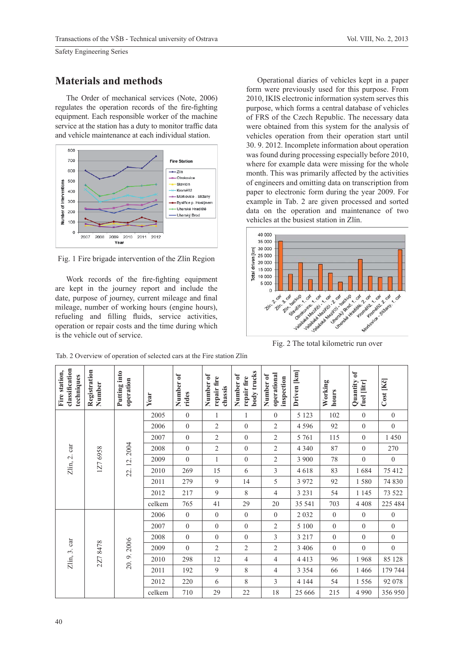### **Materials and methods**

The Order of mechanical services (Note, 2006) regulates the operation records of the fire-fighting equipment. Each responsible worker of the machine service at the station has a duty to monitor traffic data and vehicle maintenance at each individual station.



Fig. 1 Fire brigade intervention of the Zlín Region

Work records of the fire-fighting equipment are kept in the journey report and include the date, purpose of journey, current mileage and final mileage, number of working hours (engine hours), refueling and filling fluids, service activities, operation or repair costs and the time during which is the vehicle out of service.

Operational diaries of vehicles kept in a paper form were previously used for this purpose. From 2010, IKIS electronic information system serves this purpose, which forms a central database of vehicles of FRS of the Czech Republic. The necessary data were obtained from this system for the analysis of vehicles operation from their operation start until 30. 9. 2012. Incomplete information about operation was found during processing especially before 2010, where for example data were missing for the whole month. This was primarily affected by the activities of engineers and omitting data on transcription from paper to electronic form during the year 2009. For example in Tab. 2 are given processed and sorted data on the operation and maintenance of two vehicles at the busiest station in Zlín.



Fig. 2 The total kilometric run over

| classification<br>Fire station,<br>techniques | Registration<br>Number | Putting into<br>operation | Year   | Number of<br>rides | Number of<br>repair fire<br>chassis | body trucks<br>Number of<br>repair fire | operational<br>Number of<br>inspection | Driven [km] | Working<br>hours | Quantity of<br>fuel [litr] | Cost [Kč]        |         |
|-----------------------------------------------|------------------------|---------------------------|--------|--------------------|-------------------------------------|-----------------------------------------|----------------------------------------|-------------|------------------|----------------------------|------------------|---------|
|                                               |                        |                           | 2005   | $\boldsymbol{0}$   | 1                                   | 1                                       | $\boldsymbol{0}$                       | 5 1 2 3     | 102              | $\boldsymbol{0}$           | $\boldsymbol{0}$ |         |
|                                               |                        |                           | 2006   | $\boldsymbol{0}$   | $\sqrt{2}$                          | $\boldsymbol{0}$                        | $\mathfrak{2}$                         | 4 5 9 6     | 92               | $\overline{0}$             | $\boldsymbol{0}$ |         |
|                                               |                        | 22.12.2004                | 2007   | $\boldsymbol{0}$   | $\sqrt{2}$                          | $\boldsymbol{0}$                        | $\overline{2}$                         | 5 7 6 1     | 115              | $\mathbf{0}$               | 1 450            |         |
|                                               |                        |                           | 2008   | $\boldsymbol{0}$   | $\overline{2}$                      | $\boldsymbol{0}$                        | $\mathfrak{2}$                         | 4 3 4 0     | 87               | $\overline{0}$             | 270              |         |
| Zlín, 2. car                                  | 1Z7 6958               |                           | 2009   | $\boldsymbol{0}$   | $\mathbf{1}$                        | $\boldsymbol{0}$                        | $\overline{2}$                         | 3 900       | 78               | $\boldsymbol{0}$           | $\boldsymbol{0}$ |         |
|                                               |                        |                           | 2010   | 269                | 15                                  | 6                                       | 3                                      | 4618        | 83               | 1684                       | 75 412           |         |
|                                               |                        |                           | 2011   | 279                | 9                                   | 14                                      | 5                                      | 3 9 7 2     | 92               | 1580                       | 74 830           |         |
|                                               |                        |                           | 2012   | 217                | 9                                   | 8                                       | $\overline{4}$                         | 3 2 3 1     | 54               | 1 1 4 5                    | 73 522           |         |
|                                               |                        |                           | celkem | 765                | 41                                  | 29                                      | 20                                     | 35 541      | 703              | 4 4 0 8                    | 225 484          |         |
|                                               | 2Z78478                | 20.9.2006                 | 2006   | $\boldsymbol{0}$   | $\boldsymbol{0}$                    | $\boldsymbol{0}$                        | $\boldsymbol{0}$                       | 2032        | $\boldsymbol{0}$ | $\boldsymbol{0}$           | $\boldsymbol{0}$ |         |
|                                               |                        |                           | 2007   | $\boldsymbol{0}$   | $\boldsymbol{0}$                    | $\boldsymbol{0}$                        | $\mathfrak{2}$                         | 5 100       | $\boldsymbol{0}$ | $\boldsymbol{0}$           | $\boldsymbol{0}$ |         |
|                                               |                        |                           | 2008   | $\boldsymbol{0}$   | $\boldsymbol{0}$                    | $\boldsymbol{0}$                        | 3                                      | 3 2 1 7     | $\boldsymbol{0}$ | $\overline{0}$             | $\boldsymbol{0}$ |         |
|                                               |                        |                           | 2009   | $\theta$           | $\mathfrak{2}$                      | $\mathfrak{2}$                          | $\overline{2}$                         | 3 4 0 6     | $\boldsymbol{0}$ | $\overline{0}$             | $\boldsymbol{0}$ |         |
| Zlín, 3. car                                  |                        |                           | 2010   | 298                | 12                                  | $\overline{4}$                          | $\overline{4}$                         | 4 4 1 3     | 96               | 1968                       | 85 128           |         |
|                                               |                        |                           | 2011   | 192                | $\overline{9}$                      | 8                                       | 4                                      | 3 3 5 4     | 66               | 1 4 6 6                    | 179 744          |         |
|                                               |                        |                           | 2012   | 220                | 6                                   | 8                                       | 3                                      | 4 1 4 4     | 54               | 1556                       | 92 078           |         |
|                                               |                        |                           |        |                    | celkem                              | 710                                     | 29                                     | 22          | 18               | 25 666                     | 215              | 4 9 9 0 |

Tab. 2 Overview of operation of selected cars at the Fire station Zlín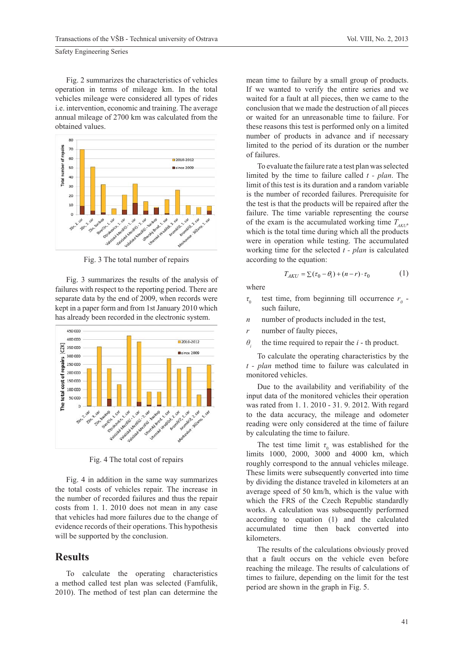Fig. 2 summarizes the characteristics of vehicles operation in terms of mileage km. In the total vehicles mileage were considered all types of rides i.e. intervention, economic and training. The average annual mileage of 2700 km was calculated from the obtained values.



Fig. 3 The total number of repairs

Fig. 3 summarizes the results of the analysis of failures with respect to the reporting period. There are separate data by the end of 2009, when records were kept in a paper form and from 1st January 2010 which has already been recorded in the electronic system.



Fig. 4 The total cost of repairs

Fig. 4 in addition in the same way summarizes the total costs of vehicles repair. The increase in the number of recorded failures and thus the repair costs from 1. 1. 2010 does not mean in any case that vehicles had more failures due to the change of evidence records of their operations. This hypothesis will be supported by the conclusion.

#### **Results**

To calculate the operating characteristics a method called test plan was selected (Famfulík, 2010). The method of test plan can determine the mean time to failure by a small group of products. If we wanted to verify the entire series and we waited for a fault at all pieces, then we came to the conclusion that we made the destruction of all pieces or waited for an unreasonable time to failure. For these reasons this test is performed only on a limited number of products in advance and if necessary limited to the period of its duration or the number of failures.

To evaluate the failure rate a test plan was selected limited by the time to failure called *t - plan*. The limit of this test is its duration and a random variable is the number of recorded failures. Prerequisite for the test is that the products will be repaired after the failure. The time variable representing the course of the exam is the accumulated working time  $T_{AKU}$ , which is the total time during which all the products were in operation while testing. The accumulated working time for the selected *t - plan* is calculated according to the equation:

$$
T_{AKU} = \sum (\tau_0 - \theta_i) + (n - r) \cdot \tau_0 \tag{1}
$$

where

- *τ*0 test time, from beginning till occurrence  $r<sub>0</sub>$  such failure,
- *n* number of products included in the test,
- *r* number of faulty pieces,
- *θi* the time required to repair the *i* - th product.

To calculate the operating characteristics by the *t - plan* method time to failure was calculated in monitored vehicles.

Due to the availability and verifiability of the input data of the monitored vehicles their operation was rated from 1. 1. 2010 - 31. 9. 2012. With regard to the data accuracy, the mileage and odometer reading were only considered at the time of failure by calculating the time to failure.

The test time limit  $\tau_0$  was established for the limits 1000, 2000, 3000 and 4000 km, which roughly correspond to the annual vehicles mileage. These limits were subsequently converted into time by dividing the distance traveled in kilometers at an average speed of 50 km/h, which is the value with which the FRS of the Czech Republic standardly works. A calculation was subsequently performed according to equation (1) and the calculated accumulated time then back converted into kilometers.

The results of the calculations obviously proved that a fault occurs on the vehicle even before reaching the mileage. The results of calculations of times to failure, depending on the limit for the test period are shown in the graph in Fig. 5.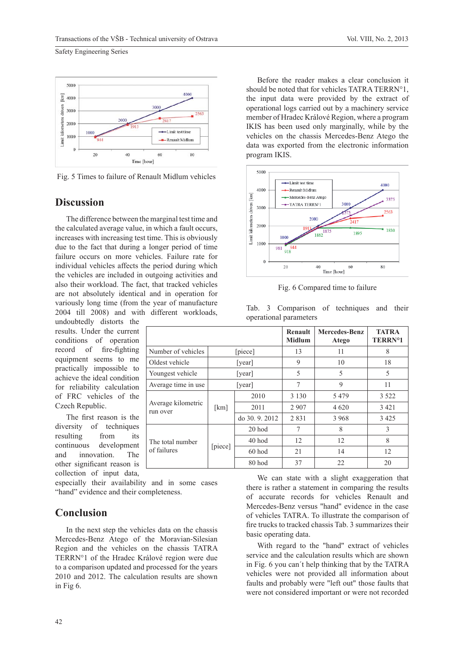

Fig. 5 Times to failure of Renault Midlum vehicles

#### **Discussion**

The difference between the marginal test time and the calculated average value, in which a fault occurs, increases with increasing test time. This is obviously due to the fact that during a longer period of time failure occurs on more vehicles. Failure rate for individual vehicles affects the period during which the vehicles are included in outgoing activities and also their workload. The fact, that tracked vehicles are not absolutely identical and in operation for variously long time (from the year of manufacture 2004 till 2008) and with different workloads,

undoubtedly distorts the results. Under the current conditions of operation record of fire-fighting equipment seems to me practically impossible to achieve the ideal condition for reliability calculation of FRC vehicles of the Czech Republic.

The first reason is the diversity of techniques resulting from its continuous development and innovation. The other significant reason is collection of input data,

especially their availability and in some cases "hand" evidence and their completeness.

#### **Conclusion**

In the next step the vehicles data on the chassis Mercedes-Benz Atego of the Moravian-Silesian Region and the vehicles on the chassis TATRA TERRN°1 of the Hradec Králové region were due to a comparison updated and processed for the years 2010 and 2012. The calculation results are shown in Fig 6.

Before the reader makes a clear conclusion it should be noted that for vehicles TATRA TERRN°1, the input data were provided by the extract of operational logs carried out by a machinery service member of Hradec Králové Region, where a program IKIS has been used only marginally, while by the vehicles on the chassis Mercedes-Benz Atego the data was exported from the electronic information program IKIS.



Fig. 6 Compared time to failure

|  | Tab. 3 Comparison of techniques and their |  |  |
|--|-------------------------------------------|--|--|
|  | operational parameters                    |  |  |

|                                |          |                | Renault<br><b>Midlum</b> | <b>Mercedes-Benz</b><br><b>Atego</b> | <b>TATRA</b><br>TERRN <sup>o</sup> 1 |
|--------------------------------|----------|----------------|--------------------------|--------------------------------------|--------------------------------------|
| Number of vehicles             |          | [piece]        | 13                       | 11                                   | 8                                    |
| Oldest vehicle                 |          | [year]         |                          | 10                                   | 18                                   |
| Youngest vehicle               |          | [year]         |                          | 5                                    | 5                                    |
| Average time in use            |          | [year]         | 7                        | 9                                    | 11                                   |
|                                | [ $km$ ] | 2010           | 3 1 3 0                  | 5479                                 | 3 5 2 2                              |
| Average kilometric<br>run over |          | 2011           | 2 9 0 7                  | 4 6 20                               | 3 4 2 1                              |
|                                |          | do 30, 9, 2012 | 2831                     | 3 9 6 8                              | 3 4 2 5                              |
|                                | [piece]  | 20 hod         | 7                        | 8                                    | 3                                    |
| The total number               |          | 40 hod         | 12                       | 12                                   | 8                                    |
| of failures                    |          | 60 hod         | 21                       | 14                                   | 12                                   |
|                                |          | 80 hod         | 37                       | 22                                   | 20                                   |

We can state with a slight exaggeration that there is rather a statement in comparing the results of accurate records for vehicles Renault and Mercedes-Benz versus "hand" evidence in the case of vehicles TATRA. To illustrate the comparison of fire trucks to tracked chassis Tab. 3 summarizes their basic operating data.

With regard to the "hand" extract of vehicles service and the calculation results which are shown in Fig. 6 you can´t help thinking that by the TATRA vehicles were not provided all information about faults and probably were "left out" those faults that were not considered important or were not recorded